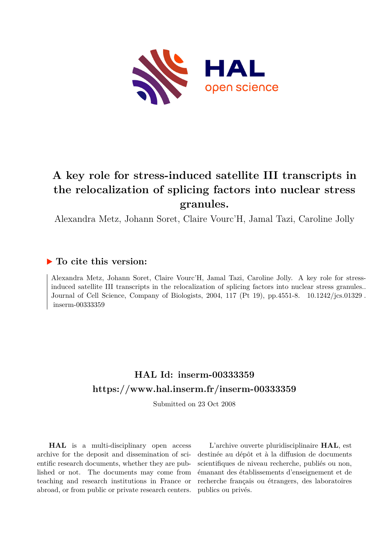

## **A key role for stress-induced satellite III transcripts in the relocalization of splicing factors into nuclear stress granules.**

Alexandra Metz, Johann Soret, Claire Vourc'H, Jamal Tazi, Caroline Jolly

### **To cite this version:**

Alexandra Metz, Johann Soret, Claire Vourc'H, Jamal Tazi, Caroline Jolly. A key role for stressinduced satellite III transcripts in the relocalization of splicing factors into nuclear stress granules.. Journal of Cell Science, Company of Biologists, 2004, 117 (Pt 19), pp.4551-8. 10.1242/jcs.01329. inserm-00333359

## **HAL Id: inserm-00333359 <https://www.hal.inserm.fr/inserm-00333359>**

Submitted on 23 Oct 2008

**HAL** is a multi-disciplinary open access archive for the deposit and dissemination of scientific research documents, whether they are published or not. The documents may come from teaching and research institutions in France or abroad, or from public or private research centers.

L'archive ouverte pluridisciplinaire **HAL**, est destinée au dépôt et à la diffusion de documents scientifiques de niveau recherche, publiés ou non, émanant des établissements d'enseignement et de recherche français ou étrangers, des laboratoires publics ou privés.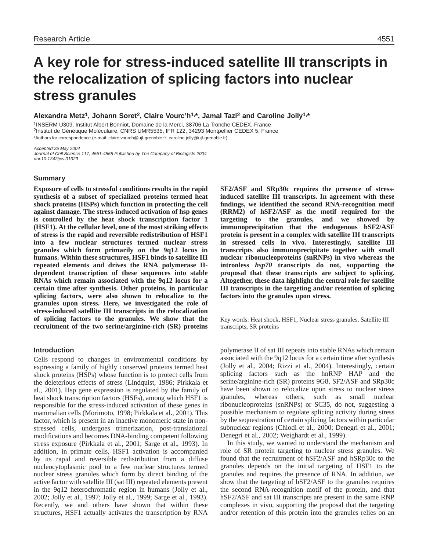# **A key role for stress-induced satellite III transcripts in the relocalization of splicing factors into nuclear stress granules**

**Alexandra Metz1, Johann Soret2, Claire Vourc'h1,\*, Jamal Tazi2 and Caroline Jolly1,\***

1INSERM U309, Institut Albert Bonniot, Domaine de la Merci, 38706 La Tronche CEDEX, France 2Institut de Génétique Moléculaire, CNRS UMR5535, IFR 122, 34293 Montpellier CEDEX 5, France \*Authors for correspondence (e-mail: claire.vourch@ujf-grenoble.fr; caroline.jolly@ujf-grenoble.fr)

Accepted 25 May 2004 Journal of Cell Science 117, 4551-4558 Published by The Company of Biologists 2004 doi:10.1242/jcs.01329

#### **Summary**

**Exposure of cells to stressful conditions results in the rapid synthesis of a subset of specialized proteins termed heat shock proteins (HSPs) which function in protecting the cell against damage. The stress-induced activation of hsp genes is controlled by the heat shock transcription factor 1 (HSF1). At the cellular level, one of the most striking effects of stress is the rapid and reversible redistribution of HSF1 into a few nuclear structures termed nuclear stress granules which form primarily on the 9q12 locus in humans. Within these structures, HSF1 binds to satellite III repeated elements and drives the RNA polymerase IIdependent transcription of these sequences into stable RNAs which remain associated with the 9q12 locus for a certain time after synthesis. Other proteins, in particular splicing factors, were also shown to relocalize to the granules upon stress. Here, we investigated the role of stress-induced satellite III transcripts in the relocalization of splicing factors to the granules. We show that the recruitment of the two serine/arginine-rich (SR) proteins**

#### **Introduction**

Cells respond to changes in environmental conditions by expressing a family of highly conserved proteins termed heat shock proteins (HSPs) whose function is to protect cells from the deleterious effects of stress (Lindquist, 1986; Pirkkala et al., 2001). Hsp gene expression is regulated by the family of heat shock transcription factors (HSFs), among which HSF1 is responsible for the stress-induced activation of these genes in mammalian cells (Morimoto, 1998; Pirkkala et al., 2001). This factor, which is present in an inactive monomeric state in nonstressed cells, undergoes trimerization, post-translational modifications and becomes DNA-binding competent following stress exposure (Pirkkala et al., 2001; Sarge et al., 1993). In addition, in primate cells, HSF1 activation is accompanied by its rapid and reversible redistribution from a diffuse nucleocytoplasmic pool to a few nuclear structures termed nuclear stress granules which form by direct binding of the active factor with satellite III (sat III) repeated elements present in the 9q12 heterochromatic region in humans (Jolly et al., 2002; Jolly et al., 1997; Jolly et al., 1999; Sarge et al., 1993). Recently, we and others have shown that within these structures, HSF1 actually activates the transcription by RNA

**SF2/ASF and SRp30c requires the presence of stressinduced satellite III transcripts. In agreement with these findings, we identified the second RNA-recognition motif (RRM2) of hSF2/ASF as the motif required for the targeting to the granules, and we showed by immunoprecipitation that the endogenous hSF2/ASF protein is present in a complex with satellite III transcripts in stressed cells in vivo. Interestingly, satellite III transcripts also immunoprecipitate together with small nuclear ribonucleoproteins (snRNPs) in vivo whereas the intronless** *hsp70* **transcripts do not, supporting the proposal that these transcripts are subject to splicing. Altogether, these data highlight the central role for satellite III transcripts in the targeting and/or retention of splicing factors into the granules upon stress.**

Key words: Heat shock, HSF1, Nuclear stress granules, Satellite III transcripts, SR proteins

polymerase II of sat III repeats into stable RNAs which remain associated with the 9q12 locus for a certain time after synthesis (Jolly et al., 2004; Rizzi et al., 2004). Interestingly, certain splicing factors such as the hnRNP HAP and the serine/arginine-rich (SR) proteins 9G8, SF2/ASF and SRp30c have been shown to relocalize upon stress to nuclear stress granules, whereas others, such as small nuclear ribonucleoproteins (snRNPs) or SC35, do not, suggesting a possible mechanism to regulate splicing activity during stress by the sequestration of certain splicing factors within particular subnuclear regions (Chiodi et al., 2000; Denegri et al., 2001; Denegri et al., 2002; Weighardt et al., 1999).

In this study, we wanted to understand the mechanism and role of SR protein targeting to nuclear stress granules. We found that the recruitment of hSF2/ASF and hSRp30c to the granules depends on the initial targeting of HSF1 to the granules and requires the presence of RNA. In addition, we show that the targeting of hSF2/ASF to the granules requires the second RNA-recognition motif of the protein, and that hSF2/ASF and sat III transcripts are present in the same RNP complexes in vivo, supporting the proposal that the targeting and/or retention of this protein into the granules relies on an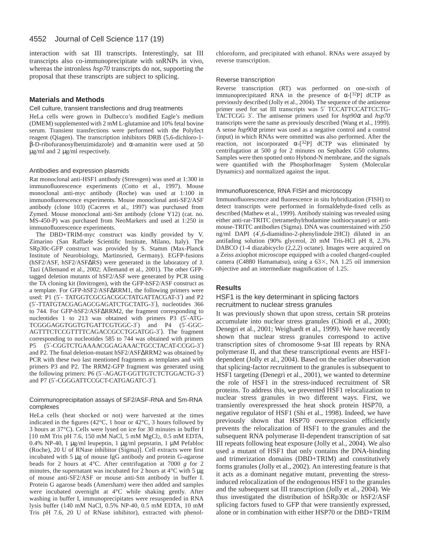interaction with sat III transcripts. Interestingly, sat III transcripts also co-immunoprecipitate with snRNPs in vivo, whereas the intronless *hsp70* transcripts do not, supporting the proposal that these transcripts are subject to splicing.

#### **Materials and Methods**

#### Cell culture, transient transfections and drug treatments

HeLa cells were grown in Dulbecco's modified Eagle's medium (DMEM) supplemented with 2 mM L-glutamine and 10% fetal bovine serum. Transient transfections were performed with the Polyfect reagent (Qiagen). The transcription inhibitors DRB (5,6-dichloro-1 β-D-ribofuranosylbenzimidazole) and α-amanitin were used at 50 µg/ml and 2 µg/ml respectively.

#### Antibodies and expression plasmids

Rat monoclonal anti-HSF1 antibody (Stressgen) was used at 1:300 in immunofluorescence experiments (Cotto et al., 1997). Mouse monoclonal anti-myc antibody (Roche) was used at 1:100 in immunofluorescence experiments. Mouse monoclonal anti-SF2/ASF antibody (clone 103) (Caceres et al., 1997) was purchased from Zymed. Mouse monoclonal anti-Sm antibody (clone Y12) (cat. no. MS-450-P) was purchased from NeoMarkers and used at 1:250 in immunofluorescence experiments.

The DBD+TRIM-myc construct was kindly provided by V. Zimarino (San Raffaele Scientific Institute, Milano, Italy). The SRp30c-GFP construct was provided by S. Stamm (Max-Planck Institute of Neurobiology, Martinsried, Germany). EGFP-fusions (hSF2/ASF, hSF2/ASF∆RS) were generated in the laboratory of J. Tazi (Allemand et al., 2002; Allemand et al., 2001). The other GFPtagged deletion mutants of hSF2/ASF were generated by PCR using the TA cloning kit (Invitrogen), with the GFP-hSF2/ASF construct as a template. For GFP-hSF2/ASF∆RRM1, the following primers were used: P1 (5′- TATGGTCGCGACGGCTATGATTACGAT-3′) and P2 (5′-TTATGTACGAGAGCGAGATCTGCTATG-3′), nucleotides 366 to 744. For GFP-hSF2/ASF∆RRM2, the fragment corresponding to nucleotides 1 to 213 was obtained with primers P3 (5'-ATG-TCGGGAGGTGGTGTGATTCGTGGC-3′) and P4 (5′-GGC-AGTTTCTCCGTTTTCAGACCGCCTGGATGG-3′). The fragment corresponding to nucleotides 585 to 744 was obtained with primers P5 (5′-CGGTCTGAAAACGGAGAAACTGCCTACAT-CCGG-3′) and P2. The final deletion-mutant hSF2/ASF∆RRM2 was obtained by PCR with these two last mentioned fragments as templates and with primers P3 and P2. The RRM2-GFP fragment was generated using the following primers: P6 (5′-AGAGT-GGTTGTCTCTGGACTG-3′) and P7 (5′-CGGGATTCCGCT-CATGAGATC-3′).

#### Coimmunoprecipitation assays of SF2/ASF-RNA and Sm-RNA complexes

HeLa cells (heat shocked or not) were harvested at the times indicated in the figures (42°C, 1 hour or 42°C, 3 hours followed by 3 hours at 37°C). Cells were lysed on ice for 30 minutes in buffer I [10 mM Tris pH 7.6, 150 mM NaCl, 5 mM MgCl2, 0.5 mM EDTA, 0.4% NP-40, 1 µg/ml leupeptin, 1 µg/ml pepstatin, 1 µM Pefabloc (Roche), 20 U of RNase inhibitor (Sigma)]. Cell extracts were first incubated with 5 µg of mouse IgG antibody and protein G-agarose beads for 2 hours at 4°C. After centrifugation at 7000 *g* for 2 minutes, the supernatant was incubated for 2 hours at  $4^{\circ}$ C with 5  $\mu$ g of mouse anti-SF2/ASF or mouse anti-Sm antibody in buffer I. Protein G agarose beads (Amersham) were then added and samples were incubated overnight at 4°C while shaking gently. After washing in buffer I, immunoprecipitates were resuspended in RNA lysis buffer (140 mM NaCl, 0.5% NP-40, 0.5 mM EDTA, 10 mM Tris pH 7.6, 20 U of RNase inhibitor), extracted with phenolchloroform, and precipitated with ethanol. RNAs were assayed by reverse transcription.

#### Reverse transcription

Reverse transcription (RT) was performed on one-sixth of immunoprecipitated RNA in the presence of  $\alpha$ -[32P] dCTP as previously described (Jolly et al., 2004). The sequence of the antisense primer used for sat III transcripts was 5' TCCATTCCATTCCTG-TACTCGG 3′. The antisense primers used for *hsp90*<sup>α</sup> and *hsp70* transcripts were the same as previously described (Wang et al., 1999). A sense *hsp90*<sup>α</sup> primer was used as a negative control and a control (input) in which RNAs were ommitted was also performed. After the reaction, not incorporated  $\alpha$ -[<sup>32</sup>P] dCTP was eliminated by centrifugation at 500 *g* for 2 minutes on Sephadex G50 columns. Samples were then spotted onto Hybond-N membrane, and the signals were quantified with the PhosphorImager® System (Molecular Dynamics) and normalized against the input.

#### Immunofluorescence, RNA FISH and microscopy

Immunofluorescence and fluorescence in situ hybridization (FISH) to detect transcripts were performed in formaldehyde-fixed cells as described (Mathew et al., 1999). Antibody staining was revealed using either anti-rat-TRITC (tetramethylrhodamine isothiocyanate) or antimouse-TRITC antibodies (Sigma). DNA was counterstained with 250 ng/ml DAPI (4′,6-diamidino-2-phenylindole·2HCl) diluted in an antifading solution (90% glycerol, 20 mM Tris-HCl pH 8, 2.3% DABCO (1-4 diazabicyclo (2,2,2) octane). Images were acquired on a Zeiss axiophot microscope equipped with a cooled charged-coupled camera (C4880 Hamamatsu), using a  $63\times$ , NA 1.25 oil immersion objective and an intermediate magnification of 1.25.

#### **Results**

#### HSF1 is the key determinant in splicing factors recruitment to nuclear stress granules

It was previously shown that upon stress, certain SR proteins accumulate into nuclear stress granules (Chiodi et al., 2000; Denegri et al., 2001; Weighardt et al., 1999). We have recently shown that nuclear stress granules correspond to active transcription sites of chromosome 9-sat III repeats by RNA polymerase II, and that these transcriptional events are HSF1 dependent (Jolly et al., 2004). Based on the earlier observation that splicing-factor recruitment to the granules is subsequent to HSF1 targeting (Denegri et al., 2001), we wanted to determine the role of HSF1 in the stress-induced recruitment of SR proteins. To address this, we prevented HSF1 relocalization to nuclear stress granules in two different ways. First, we transiently overexpressed the heat shock protein HSP70, a negative regulator of HSF1 (Shi et al., 1998). Indeed, we have previously shown that HSP70 overexpression efficiently prevents the relocalization of HSF1 to the granules and the subsequent RNA polymerase II-dependent transcription of sat III repeats following heat exposure (Jolly et al., 2004). We also used a mutant of HSF1 that only contains the DNA-binding and trimerization domains (DBD+TRIM) and constitutively forms granules (Jolly et al., 2002). An interesting feature is that it acts as a dominant negative mutant, preventing the stressinduced relocalization of the endogenous HSF1 to the granules and the subsequent sat III transcription (Jolly et al., 2004). We thus investigated the distribution of hSRp30c or hSF2/ASF splicing factors fused to GFP that were transiently expressed, alone or in combination with either HSP70 or the DBD+TRIM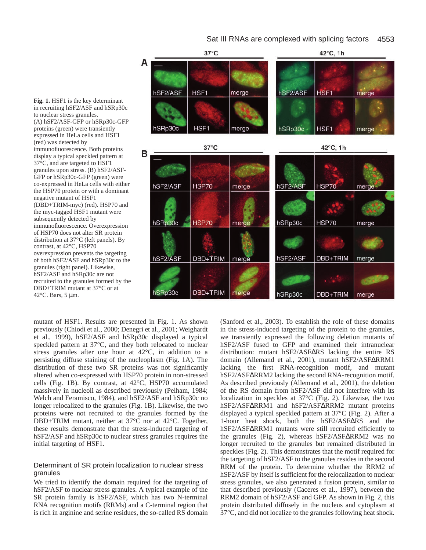

Fig. 1. HSF1 is the key determinant in recruiting hSF2/ASF and hSRp30c to nuclear stress granules. (A) hSF2/ASF-GFP or hSRp30c-GFP proteins (green) were transiently expressed in HeLa cells and HSF1 (red) was detected by immunofluorescence. Both proteins display a typical speckled pattern at 37°C, and are targeted to HSF1 granules upon stress. (B) hSF2/ASF-GFP or hSRp30c-GFP (green) were co-expressed in HeLa cells with either the HSP70 protein or with a dominant negative mutant of HSF1 (DBD+TRIM-myc) (red). HSP70 and the myc-tagged HSF1 mutant were subsequently detected by immunofluorescence. Overexpression of HSP70 does not alter SR protein distribution at 37°C (left panels). By contrast, at 42°C, HSP70 overexpression prevents the targeting of both hSF2/ASF and hSRp30c to the granules (right panel). Likewise, hSF2/ASF and hSRp30c are not recruited to the granules formed by the DBD+TRIM mutant at 37°C or at

42 $\degree$ C. Bars, 5 µm.

mutant of HSF1. Results are presented in Fig. 1. As shown previously (Chiodi et al., 2000; Denegri et al., 2001; Weighardt et al., 1999), hSF2/ASF and hSRp30c displayed a typical speckled pattern at 37°C, and they both relocated to nuclear stress granules after one hour at 42°C, in addition to a persisting diffuse staining of the nucleoplasm (Fig. 1A). The distribution of these two SR proteins was not significantly altered when co-expressed with HSP70 protein in non-stressed cells (Fig. 1B). By contrast, at 42°C, HSP70 accumulated massively in nucleoli as described previously (Pelham, 1984; Welch and Feramisco, 1984), and hSF2/ASF and hSRp30c no longer relocalized to the granules (Fig. 1B). Likewise, the two proteins were not recruited to the granules formed by the DBD+TRIM mutant, neither at 37°C nor at 42°C. Together, these results demonstrate that the stress-induced targeting of hSF2/ASF and hSRp30c to nuclear stress granules requires the initial targeting of HSF1.

#### Determinant of SR protein localization to nuclear stress granules

We tried to identify the domain required for the targeting of hSF2/ASF to nuclear stress granules. A typical example of the SR protein family is hSF2/ASF, which has two N-terminal RNA recognition motifs (RRMs) and a C-terminal region that is rich in arginine and serine residues, the so-called RS domain (Sanford et al., 2003). To establish the role of these domains in the stress-induced targeting of the protein to the granules, we transiently expressed the following deletion mutants of hSF2/ASF fused to GFP and examined their intranuclear distribution: mutant hSF2/ASF∆RS lacking the entire RS domain (Allemand et al., 2001), mutant hSF2/ASF∆RRM1 lacking the first RNA-recognition motif, and mutant hSF2/ASF∆RRM2 lacking the second RNA-recognition motif. As described previously (Allemand et al., 2001), the deletion of the RS domain from hSF2/ASF did not interfere with its localization in speckles at 37°C (Fig. 2). Likewise, the two hSF2/ASF∆RRM1 and hSF2/ASF∆RRM2 mutant proteins displayed a typical speckled pattern at 37°C (Fig. 2). After a 1-hour heat shock, both the hSF2/ASF∆RS and the hSF2/ASF∆RRM1 mutants were still recruited efficiently to the granules (Fig. 2), whereas hSF2/ASF∆RRM2 was no longer recruited to the granules but remained distributed in speckles (Fig. 2). This demonstrates that the motif required for the targeting of hSF2/ASF to the granules resides in the second RRM of the protein. To determine whether the RRM2 of hSF2/ASF by itself is sufficient for the relocalization to nuclear stress granules, we also generated a fusion protein, similar to that described previously (Caceres et al., 1997), between the RRM2 domain of hSF2/ASF and GFP. As shown in Fig. 2, this protein distributed diffusely in the nucleus and cytoplasm at 37°C, and did not localize to the granules following heat shock.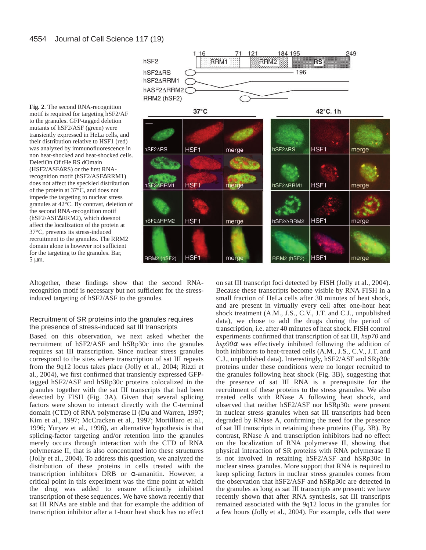

**Fig. 2**. The second RNA-recognition motif is required for targeting hSF2/AF to the granules. GFP-tagged deletion mutants of hSF2/ASF (green) were transiently expressed in HeLa cells, and their distribution relative to HSF1 (red) was analyzed by immunofluorescence in non heat-shocked and heat-shocked cells. DeletiOn Of tHe RS dOmain (HSF2/ASF∆RS) or the first RNArecognition motif (hSF2/ASF∆RRM1) does not affect the speckled distribution of the protein at 37°C, and does not impede the targeting to nuclear stress granules at 42°C. By contrast, deletion of the second RNA-recognition motif (hSF2/ASF∆RRM2), which doesnot affect the localization of the protein at 37°C, prevents its stress-induced recruitment to the granules. The RRM2 domain alone is however not sufficient for the targeting to the granules. Bar, 5 µm.

Altogether, these findings show that the second RNArecognition motif is necessary but not sufficient for the stressinduced targeting of hSF2/ASF to the granules.

#### Recruitment of SR proteins into the granules requires the presence of stress-induced sat III transcripts

Based on this observation, we next asked whether the recruitment of hSF2/ASF and hSRp30c into the granules requires sat III transcription. Since nuclear stress granules correspond to the sites where transcription of sat III repeats from the 9q12 locus takes place (Jolly et al., 2004; Rizzi et al., 2004), we first confirmed that transiently expressed GFPtagged hSF2/ASF and hSRp30c proteins colocalized in the granules together with the sat III transcripts that had been detected by FISH (Fig. 3A). Given that several splicing factors were shown to interact directly with the C-terminal domain (CTD) of RNA polymerase II (Du and Warren, 1997; Kim et al., 1997; McCracken et al., 1997; Mortillaro et al., 1996; Yuryev et al., 1996), an alternative hypothesis is that splicing-factor targeting and/or retention into the granules merely occurs through interaction with the CTD of RNA polymerase II, that is also concentrated into these structures (Jolly et al., 2004). To address this question, we analyzed the distribution of these proteins in cells treated with the transcription inhibitors DRB or α-amanitin. However, a critical point in this experiment was the time point at which the drug was added to ensure efficiently inhibited transcription of these sequences. We have shown recently that sat III RNAs are stable and that for example the addition of transcription inhibitor after a 1-hour heat shock has no effect on sat III transcript foci detected by FISH (Jolly et al., 2004). Because these transcripts become visible by RNA FISH in a small fraction of HeLa cells after 30 minutes of heat shock, and are present in virtually every cell after one-hour heat shock treatment (A.M., J.S., C.V., J.T. and C.J., unpublished data), we chose to add the drugs during the period of transcription, i.e. after 40 minutes of heat shock. FISH control experiments confirmed that transcription of sat III, *hsp70* and  $hsp90\alpha$  was effectively inhibited following the addition of both inhibitors to heat-treated cells (A.M., J.S., C.V., J.T. and C.J., unpublished data). Interestingly, hSF2/ASF and SRp30c proteins under these conditions were no longer recruited to the granules following heat shock (Fig. 3B), suggesting that the presence of sat III RNA is a prerequisite for the recruitment of these proteins to the stress granules. We also treated cells with RNase A following heat shock, and observed that neither hSF2/ASF nor hSRp30c were present in nuclear stress granules when sat III transcripts had been degraded by RNase A, confirming the need for the presence of sat III transcripts in retaining these proteins (Fig. 3B). By contrast, RNase A and transcription inhibitors had no effect on the localization of RNA polymerase II, showing that physical interaction of SR proteins with RNA polymerase II is not involved in retaining hSF2/ASF and hSRp30c in nuclear stress granules. More support that RNA is required to keep splicing factors in nuclear stress granules comes from the observation that hSF2/ASF and hSRp30c are detected in the granules as long as sat III transcripts are present: we have recently shown that after RNA synthesis, sat III transcripts remained associated with the 9q12 locus in the granules for a few hours (Jolly et al., 2004). For example, cells that were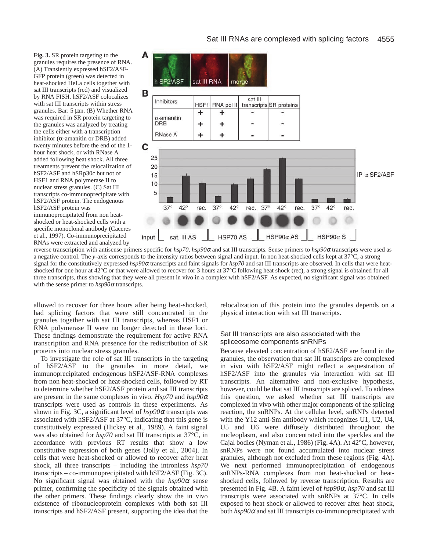**Fig. 3.** SR protein targeting to the granules requires the presence of RNA. (A) Transiently expressed hSF2/ASF-GFP protein (green) was detected in heat-shocked HeLa cells together with sat III transcripts (red) and visualized by RNA FISH. hSF2/ASF colocalizes with sat III transcripts within stress granules. Bar: 5 µm. (B) Whether RNA was required in SR protein targeting to the granules was analyzed by treating the cells either with a transcription inhibitor ( $α$ -amanitin or DRB) added twenty minutes before the end of the 1 hour heat shock, or with RNase A added following heat shock. All three treatments prevent the relocalization of hSF2/ASF and hSRp30c but not of HSF1 and RNA polymerase II to nuclear stress granules. (C) Sat III transcripts co-immunoprecipitate with hSF2/ASF protein. The endogenous hSF2/ASF protein was

immunoprecipitated from non heatshocked or heat-shocked cells with a specific monoclonal antibody (Caceres et al., 1997). Co-immunoprecipitated RNAs were extracted and analyzed by





reverse transcription with antisense primers specific for *hsp70*, *hsp90*<sup>α</sup> and sat III transcripts. Sense primers to *hsp90*<sup>α</sup> transcripts were used as a negative control. The *y*-axis corresponds to the intensity ratios between signal and input. In non heat-shocked cells kept at 37°C, a strong signal for the constitutively expressed *hsp90*<sup>α</sup> transcripts and faint signals for *hsp70* and sat III transcripts are observed. In cells that were heatshocked for one hour at 42°C or that were allowed to recover for 3 hours at 37°C following heat shock (rec), a strong signal is obtained for all three transcripts, thus showing that they were all present in vivo in a complex with hSF2/ASF. As expected, no significant signal was obtained with the sense primer to  $hsp90\alpha$  transcripts.

allowed to recover for three hours after being heat-shocked, had splicing factors that were still concentrated in the granules together with sat III transcripts, whereas HSF1 or RNA polymerase II were no longer detected in these loci. These findings demonstrate the requirement for active RNA transcription and RNA presence for the redistribution of SR proteins into nuclear stress granules.

To investigate the role of sat III transcripts in the targeting of hSF2/ASF to the granules in more detail, we immunoprecipitated endogenous hSF2/ASF-RNA complexes from non heat-shocked or heat-shocked cells, followed by RT to determine whether hSF2/ASF protein and sat III transcripts are present in the same complexes in vivo. *Hsp70* and *hsp90*<sup>α</sup> transcripts were used as controls in these experiments. As shown in Fig. 3C, a significant level of *hsp90*<sup>α</sup> transcripts was associated with hSF2/ASF at 37°C, indicating that this gene is constitutively expressed (Hickey et al., 1989). A faint signal was also obtained for *hsp70* and sat III transcripts at 37°C, in accordance with previous RT results that show a low constitutive expression of both genes (Jolly et al., 2004). In cells that were heat-shocked or allowed to recover after heat shock, all three transcripts – including the intronless *hsp70* transcripts – co-immunoprecipitated with hSF2/ASF (Fig. 3C). No significant signal was obtained with the *hsp90*<sup>α</sup> sense primer, confirming the specificity of the signals obtained with the other primers. These findings clearly show the in vivo existence of ribonucleoprotein complexes with both sat III transcripts and hSF2/ASF present, supporting the idea that the

relocalization of this protein into the granules depends on a physical interaction with sat III transcripts.

### Sat III transcripts are also associated with the spliceosome components snRNPs

Because elevated concentration of hSF2/ASF are found in the granules, the observation that sat III transcripts are complexed in vivo with hSF2/ASF might reflect a sequestration of hSF2/ASF into the granules via interaction with sat III transcripts. An alternative and non-exclusive hypothesis, however, could be that sat III transcripts are spliced. To address this question, we asked whether sat III transcripts are complexed in vivo with other major components of the splicing reaction, the snRNPs. At the cellular level, snRNPs detected with the Y12 anti-Sm antibody which recognizes U1, U2, U4, U5 and U6 were diffusely distributed throughout the nucleoplasm, and also concentrated into the speckles and the Cajal bodies (Nyman et al., 1986) (Fig. 4A). At 42°C, however, snRNPs were not found accumulated into nuclear stress granules, although not excluded from these regions (Fig. 4A). We next performed immunoprecipitation of endogenous snRNPs-RNA complexes from non heat-shocked or heatshocked cells, followed by reverse transcription. Results are presented in Fig. 4B. A faint level of *hsp90*α, *hsp70* and sat III transcripts were associated with snRNPs at 37°C. In cells exposed to heat shock or allowed to recover after heat shock, both *hsp90*<sup>α</sup> and sat III transcripts co-immunoprecipitated with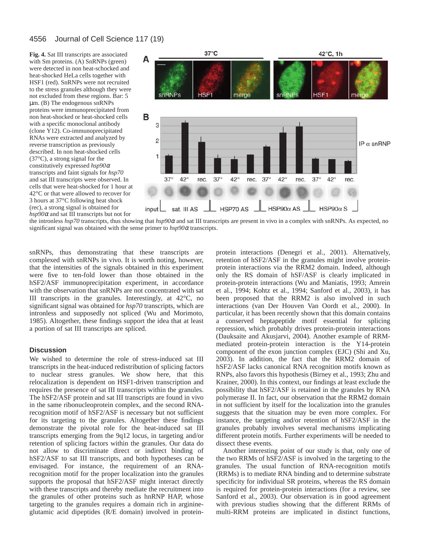#### 4556 Journal of Cell Science 117 (19)

**Fig. 4.** Sat III transcripts are associated with Sm proteins. (A) SnRNPs (green) were detected in non heat-schocked and heat-shocked HeLa cells together with HSF1 (red). SnRNPs were not recruited to the stress granules although they were not excluded from these regions. Bar: 5 µm. (B) The endogenous snRNPs proteins were immunoprecipitated from non heat-shocked or heat-shocked cells with a specific monoclonal antibody (clone Y12). Co-immunoprecipitated RNAs were extracted and analyzed by reverse transcription as previously described. In non heat-shocked cells (37°C), a strong signal for the constitutively expressed *hsp90*<sup>α</sup> transcripts and faint signals for *hsp70* and sat III transcripts were observed. In cells that were heat-shocked for 1 hour at 42°C or that were allowed to recover for 3 hours at 37°C following heat shock (rec), a strong signal is obtained for *hsp90*<sup>α</sup> and sat III transcripts but not for



the intronless *hsp70* transcripts, thus showing that *hsp90*<sup>α</sup> and sat III transcripts are present in vivo in a complex with snRNPs. As expected, no significant signal was obtained with the sense primer to *hsp90*<sup>α</sup> transcripts.

snRNPs, thus demonstrating that these transcripts are complexed with snRNPs in vivo. It is worth noting, however, that the intensities of the signals obtained in this experiment were five to ten-fold lower than those obtained in the hSF2/ASF immunoprecipitation experiment, in accordance with the observation that snRNPs are not concentrated with sat III transcripts in the granules. Interestingly, at 42°C, no significant signal was obtained for *hsp70* transcripts, which are intronless and supposedly not spliced (Wu and Morimoto, 1985). Altogether, these findings support the idea that at least a portion of sat III transcripts are spliced.

#### **Discussion**

We wished to determine the role of stress-induced sat III transcripts in the heat-induced redistribution of splicing factors to nuclear stress granules. We show here, that this relocalization is dependent on HSF1-driven transcription and requires the presence of sat III transcripts within the granules. The hSF2/ASF protein and sat III transcripts are found in vivo in the same ribonucleoprotein complex, and the second RNArecognition motif of hSF2/ASF is necessary but not sufficient for its targeting to the granules. Altogether these findings demonstrate the pivotal role for the heat-induced sat III transcripts emerging from the 9q12 locus, in targeting and/or retention of splicing factors within the granules. Our data do not allow to discriminate direct or indirect binding of hSF2/ASF to sat III transcripts, and both hypotheses can be envisaged. For instance, the requirement of an RNArecognition motif for the proper localization into the granules supports the proposal that hSF2/ASF might interact directly with these transcripts and thereby mediate the recruitment into the granules of other proteins such as hnRNP HAP, whose targeting to the granules requires a domain rich in arginineglutamic acid dipeptides (R/E domain) involved in proteinprotein interactions (Denegri et al., 2001). Alternatively, retention of hSF2/ASF in the granules might involve proteinprotein interactions via the RRM2 domain. Indeed, although only the RS domain of hSF/ASF is clearly implicated in protein-protein interactions (Wu and Maniatis, 1993; Amrein et al., 1994; Kohtz et al., 1994; Sanford et al., 2003), it has been proposed that the RRM2 is also involved in such interactions (van Der Houven Van Oordt et al., 2000). In particular, it has been recently shown that this domain contains a conserved heptapeptide motif essential for splicing repression, which probably drives protein-protein interactions (Dauksaite and Akusjarvi, 2004). Another example of RRMmediated protein-protein interaction is the Y14-protein component of the exon junction complex (EJC) (Shi and Xu, 2003). In addition, the fact that the RRM2 domain of hSF2/ASF lacks canonical RNA recognition motifs known as RNPs, also favors this hypothesis (Birney et al., 1993; Zhu and Krainer, 2000). In this context, our findings at least exclude the possibility that hSF2/ASF is retained in the granules by RNA polymerase II. In fact, our observation that the RRM2 domain in not sufficient by itself for the localization into the granules suggests that the situation may be even more complex. For instance, the targeting and/or retention of hSF2/ASF in the granules probably involves several mechanisms implicating different protein motifs. Further experiments will be needed to dissect these events.

Another interesting point of our study is that, only one of the two RRMs of hSF2/ASF is involved in the targeting to the granules. The usual function of RNA-recognition motifs (RRMs) is to mediate RNA binding and to determine substrate specificity for individual SR proteins, whereas the RS domain is required for protein-protein interactions (for a review, see Sanford et al., 2003). Our observation is in good agreement with previous studies showing that the different RRMs of multi-RRM proteins are implicated in distinct functions,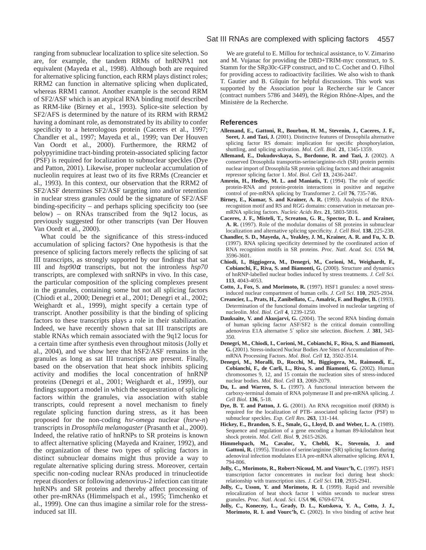ranging from subnuclear localization to splice site selection. So are, for example, the tandem RRMs of hnRNPA1 not equivalent (Mayeda et al., 1998). Although both are required for alternative splicing function, each RRM plays distinct roles; RRM2 can function in alternative splicing when duplicated, whereas RRM1 cannot. Another example is the second RRM of SF2/ASF which is an atypical RNA binding motif described as RRM-like (Birney et al., 1993). Splice-site selection by SF2/AFS is determined by the nature of its RRM with RRM2 having a dominant role, as demonstrated by its ability to confer specificity to a heterologous protein (Caceres et al., 1997; Chandler et al., 1997; Mayeda et al., 1999; van Der Houven Van Oordt et al., 2000). Furthermore, the RRM2 of polypyrimidine tract-binding protein-associated splicing factor (PSF) is required for localization to subnuclear speckles (Dye and Patton, 2001). Likewise, proper nucleolar accumulation of nucleolin requires at least two of its five RRMs (Creancier et al., 1993). In this context, our observation that the RRM2 of SF2/ASF determines SF2/ASF targeting into and/or retention in nuclear stress granules could be the signature of SF2/ASF binding-specificity – and perhaps splicing specificity too (see below) – on RNAs transcribed from the 9q12 locus, as previously suggested for other transcripts (van Der Houven Van Oordt et al., 2000).

What could be the significance of this stress-induced accumulation of splicing factors? One hypothesis is that the presence of splicing factors merely reflects the splicing of sat III transcripts, as strongly supported by our findings that sat III and *hsp90*<sup>α</sup> transcripts, but not the intronless *hsp70* transcripts, are complexed with snRNPs in vivo. In this case, the particular composition of the splicing complexes present in the granules, containing some but not all splicing factors (Chiodi et al., 2000; Denegri et al., 2001; Denegri et al., 2002; Weighardt et al., 1999), might specify a certain type of transcript. Another possibility is that the binding of splicing factors to these transcripts plays a role in their stabilization. Indeed, we have recently shown that sat III transcripts are stable RNAs which remain associated with the 9q12 locus for a certain time after synthesis even throughout mitosis (Jolly et al., 2004), and we show here that hSF2/ASF remains in the granules as long as sat III transcripts are present. Finally, based on the observation that heat shock inhibits splicing activity and modifies the local concentration of hnRNP proteins (Denegri et al., 2001; Weighardt et al., 1999), our findings support a model in which the sequestration of splicing factors within the granules, via association with stable transcripts, could represent a novel mechanism to finely regulate splicing function during stress, as it has been proposed for the non-coding *hsr-omega* nuclear (*hsrw-n*) transcripts in *Drosophila melanogaster* (Prasanth et al., 2000). Indeed, the relative ratio of hnRNPs to SR proteins is known to affect alternative splicing (Mayeda and Krainer, 1992), and the organization of these two types of splicing factors in distinct subnuclear domains might thus provide a way to regulate alternative splicing during stress. Moreover, certain specific non-coding nuclear RNAs produced in trinucleotide repeat disorders or following adenovirus-2 infection can titrate hnRNPs and SR proteins and thereby affect processing of other pre-mRNAs (Himmelspach et al., 1995; Timchenko et al., 1999). One can thus imagine a similar role for the stressinduced sat III.

We are grateful to E. Millou for technical assistance, to V. Zimarino and M. Vujanac for providing the DBD+TRIM-myc construct, to S. Stamm for the SRp30c-GFP construct, and to C. Cochet and O. Filhol for providing access to radioactivity facilities. We also wish to thank T. Gautier and B. Gilquin for helpful discussions. This work was supported by the Association pour la Recherche sur le Cancer (contract numbers 5786 and 3449), the Région Rhône-Alpes, and the Ministère de la Recherche.

#### **References**

- **Allemand, E., Gattoni, R., Bourbon, H. M., Stevenin, J., Caceres, J. F., Soret, J. and Tazi, J.** (2001). Distinctive features of Drosophila alternative splicing factor RS domain: implication for specific phosphorylation, shuttling, and splicing activation. *Mol. Cell. Biol.* **21**, 1345-1359.
- **Allemand, E., Dokudovskaya, S., Bordonne, R. and Tazi, J.** (2002). A conserved Drosophila transportin-serine/arginine-rich (SR) protein permits nuclear import of Drosophila SR protein splicing factors and their antagonist repressor splicing factor 1. *Mol. Biol. Cell* **13**, 2436-2447.
- **Amrein, H., Hedley, M. L. and Maniatis, T.** (1994). The role of specific protein-RNA and protein-protein interactions in positive and negative control of pre-mRNA splicing by Transformer 2. *Cell* **76**, 735-746.
- **Birney, E., Kumar, S. and Krainer, A. R.** (1993). Analysis of the RNArecognition motif and RS and RGG domains: conservation in metazoan premRNA splicing factors. *Nucleic Acids Res.* **21**, 5803-5816.
- **Caceres, J. F., Misteli, T., Screaton, G. R., Spector, D. L. and Krainer, A. R.** (1997). Role of the modular domains of SR proteins in subnuclear localization and alternative splicing specificity. *J. Cell Biol.* **138**, 225-238.
- **Chandler, S. D., Mayeda, A., Yeakley, J. M., Krainer, A. R. and Fu, X. D.** (1997). RNA splicing specificity determined by the coordinated action of RNA recognition motifs in SR proteins. *Proc. Natl. Acad. Sci. USA* **94**, 3596-3601.
- **Chiodi, I., Biggiogera, M., Denegri, M., Corioni, M., Weighardt, F., Cobianchi, F., Riva, S. and Biamonti, G.** (2000). Structure and dynamics of hnRNP-labelled nuclear bodies induced by stress treatments. *J. Cell Sci.* **113**, 4043-4053.
- **Cotto, J., Fox, S. and Morimoto, R.** (1997). HSF1 granules: a novel stressinduced nuclear compartment of human cells. *J. Cell Sci.* **110**, 2925-2934.
- **Creancier, L., Prats, H., Zanibellato, C., Amalric, F. and Bugler, B.** (1993). Determination of the functional domains involved in nucleolar targeting of nucleolin. *Mol. Biol. Cell* **4**, 1239-1250.
- **Dauksaite, V. and Akusjarvi, G.** (2004). The second RNA binding domain of human splicing factor ASF/SF2 is the critical domain controlling adenovirus E1A alternative 5′ splice site selection. *Biochem. J.* **381**, 343- 350.
- **Denegri, M., Chiodi, I., Corioni, M., Cobianchi, F., Riva, S. and Biamonti, G.** (2001). Stress-induced Nuclear Bodies Are Sites of Accumulation of PremRNA Processing Factors. *Mol. Biol. Cell* **12**, 3502-3514.
- **Denegri, M., Moralli, D., Rocchi, M., Biggiogera, M., Raimondi, E., Cobianchi, F., de Carli, L., Riva, S. and Biamonti, G.** (2002). Human chromosomes 9, 12, and 15 contain the nucleation sites of stress-induced nuclear bodies. *Mol. Biol. Cell* **13**, 2069-2079.
- **Du, L. and Warren, S. L.** (1997). A functional interaction between the carboxy-terminal domain of RNA polymerase II and pre-mRNA splicing. *J. Cell Biol.* **136**, 5-18.
- **Dye, B. T. and Patton, J. G.** (2001). An RNA recognition motif (RRM) is required for the localization of PTB- associated splicing factor (PSF) to subnuclear speckles. *Exp. Cell Res.* **263**, 131-144.
- **Hickey, E., Brandon, S. E., Smale, G., Lloyd, D. and Weber, L. A.** (1989). Sequence and regulation of a gene encoding a human 89-kilodalton heat shock protein. *Mol. Cell. Biol.* **9**, 2615-2626.
- **Himmelspach, M., Cavaloc, Y., Chebli, K., Stevenin, J. and** Gattoni, R. (1995). Titration of serine/arginine (SR) splicing factors during adenoviral infection modulates E1A pre-mRNA alternative splicing. *RNA* **1**, 794-806.
- **Jolly, C., Morimoto, R., Robert-Nicoud, M. and Vourc'h, C.** (1997). HSF1 transcription factor concentrates in nuclear foci during heat shock: relationship with transcription sites. *J. Cell Sci.* **110**, 2935-2941.
- **Jolly, C., Usson, Y. and Morimoto, R. I.** (1999). Rapid and reversible relocalization of heat shock factor 1 within seconds to nuclear stress granules. *Proc. Natl. Acad. Sci. USA* **96**, 6769-6774.
- **Jolly, C., Konecny, L., Grady, D. L., Kutskova, Y. A., Cotto, J. J., Morimoto, R. I. and Vourc'h, C.** (2002). In vivo binding of active heat